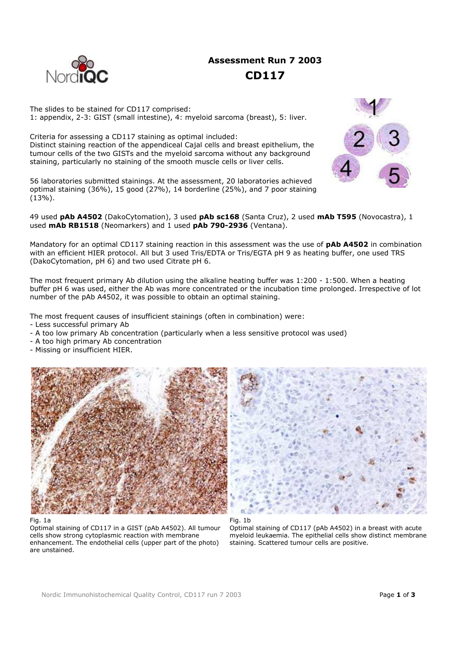# **Assessment Run 7 2003 CD117**

The slides to be stained for CD117 comprised: 1: appendix, 2-3: GIST (small intestine), 4: myeloid sarcoma (breast), 5: liver.

Criteria for assessing a CD117 staining as optimal included: Distinct staining reaction of the appendiceal Cajal cells and breast epithelium, the tumour cells of the two GISTs and the myeloid sarcoma without any background staining, particularly no staining of the smooth muscle cells or liver cells.

56 laboratories submitted stainings. At the assessment, 20 laboratories achieved optimal staining (36%), 15 good (27%), 14 borderline (25%), and 7 poor staining (13%).



49 used **pAb A4502** (DakoCytomation), 3 used **pAb sc168** (Santa Cruz), 2 used **mAb T595** (Novocastra), 1 used **mAb RB1518** (Neomarkers) and 1 used **pAb 790-2936** (Ventana).

Mandatory for an optimal CD117 staining reaction in this assessment was the use of **pAb A4502** in combination with an efficient HIER protocol. All but 3 used Tris/EDTA or Tris/EGTA pH 9 as heating buffer, one used TRS (DakoCytomation, pH 6) and two used Citrate pH 6.

The most frequent primary Ab dilution using the alkaline heating buffer was 1:200 - 1:500. When a heating buffer pH 6 was used, either the Ab was more concentrated or the incubation time prolonged. Irrespective of lot number of the pAb A4502, it was possible to obtain an optimal staining.

The most frequent causes of insufficient stainings (often in combination) were:

- Less successful primary Ab
- A too low primary Ab concentration (particularly when a less sensitive protocol was used)
- A too high primary Ab concentration
- Missing or insufficient HIER.





## Fig. 1a

Optimal staining of CD117 in a GIST (pAb A4502). All tumour cells show strong cytoplasmic reaction with membrane enhancement. The endothelial cells (upper part of the photo) are unstained.

Optimal staining of CD117 (pAb A4502) in a breast with acute myeloid leukaemia. The epithelial cells show distinct membrane staining. Scattered tumour cells are positive.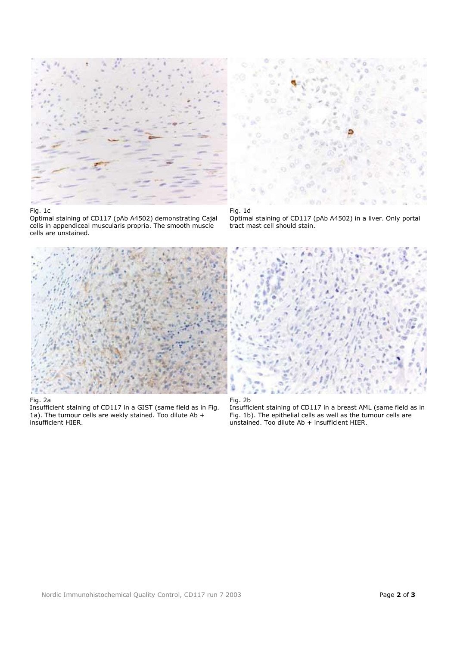

## Fig. 1c

Optimal staining of CD117 (pAb A4502) demonstrating Cajal cells in appendiceal muscularis propria. The smooth muscle cells are unstained.



Fig. 1d

Optimal staining of CD117 (pAb A4502) in a liver. Only portal tract mast cell should stain.



## Fig. 2a

Insufficient staining of CD117 in a GIST (same field as in Fig. 1a). The tumour cells are wekly stained. Too dilute Ab + insufficient HIER.





Insufficient staining of CD117 in a breast AML (same field as in Fig. 1b). The epithelial cells as well as the tumour cells are unstained. Too dilute Ab + insufficient HIER.